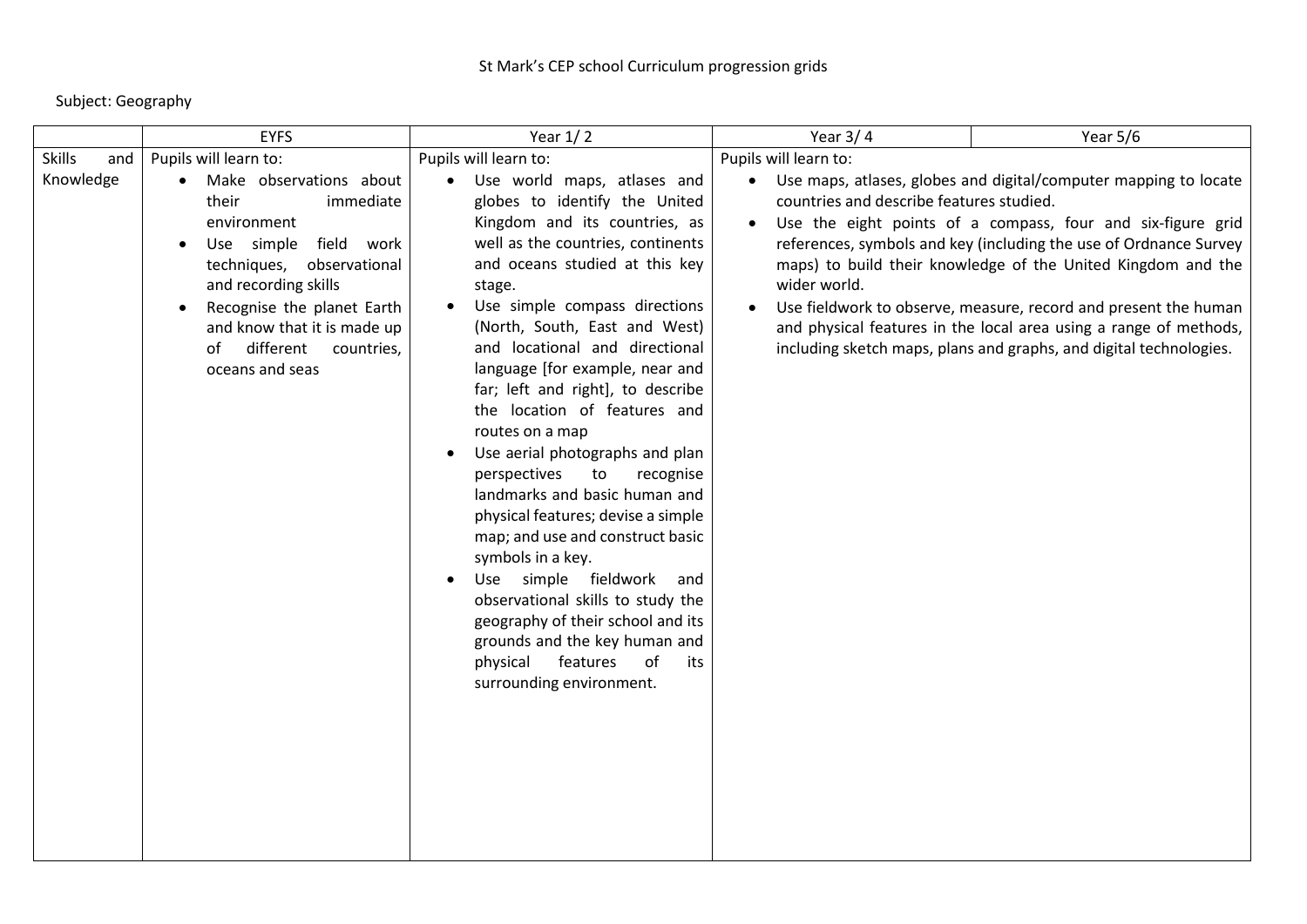Subject: Geography

|                                   | <b>EYFS</b>                                                                                                                                                                                                                                                                          | Year $1/2$                                                                                                                                                                                                                                                                                                                                                                                                                                                                                                                                                                                                                                                                                                                                                                                                                                           | Year $3/4$                                                                        | Year 5/6                                                                                                                                                                                                                                                                                                                                                                                                                                                                             |
|-----------------------------------|--------------------------------------------------------------------------------------------------------------------------------------------------------------------------------------------------------------------------------------------------------------------------------------|------------------------------------------------------------------------------------------------------------------------------------------------------------------------------------------------------------------------------------------------------------------------------------------------------------------------------------------------------------------------------------------------------------------------------------------------------------------------------------------------------------------------------------------------------------------------------------------------------------------------------------------------------------------------------------------------------------------------------------------------------------------------------------------------------------------------------------------------------|-----------------------------------------------------------------------------------|--------------------------------------------------------------------------------------------------------------------------------------------------------------------------------------------------------------------------------------------------------------------------------------------------------------------------------------------------------------------------------------------------------------------------------------------------------------------------------------|
| <b>Skills</b><br>and<br>Knowledge | Pupils will learn to:<br>Make observations about<br>their<br>immediate<br>environment<br>Use simple field work<br>techniques, observational<br>and recording skills<br>Recognise the planet Earth<br>and know that it is made up<br>different<br>countries,<br>of<br>oceans and seas | Pupils will learn to:<br>Use world maps, atlases and<br>globes to identify the United<br>Kingdom and its countries, as<br>well as the countries, continents<br>and oceans studied at this key<br>stage.<br>Use simple compass directions<br>(North, South, East and West)<br>and locational and directional<br>language [for example, near and<br>far; left and right], to describe<br>the location of features and<br>routes on a map<br>Use aerial photographs and plan<br>perspectives<br>to<br>recognise<br>landmarks and basic human and<br>physical features; devise a simple<br>map; and use and construct basic<br>symbols in a key.<br>Use simple fieldwork and<br>observational skills to study the<br>geography of their school and its<br>grounds and the key human and<br>of<br>features<br>physical<br>its<br>surrounding environment. | Pupils will learn to:<br>countries and describe features studied.<br>wider world. | • Use maps, atlases, globes and digital/computer mapping to locate<br>Use the eight points of a compass, four and six-figure grid<br>references, symbols and key (including the use of Ordnance Survey<br>maps) to build their knowledge of the United Kingdom and the<br>Use fieldwork to observe, measure, record and present the human<br>and physical features in the local area using a range of methods,<br>including sketch maps, plans and graphs, and digital technologies. |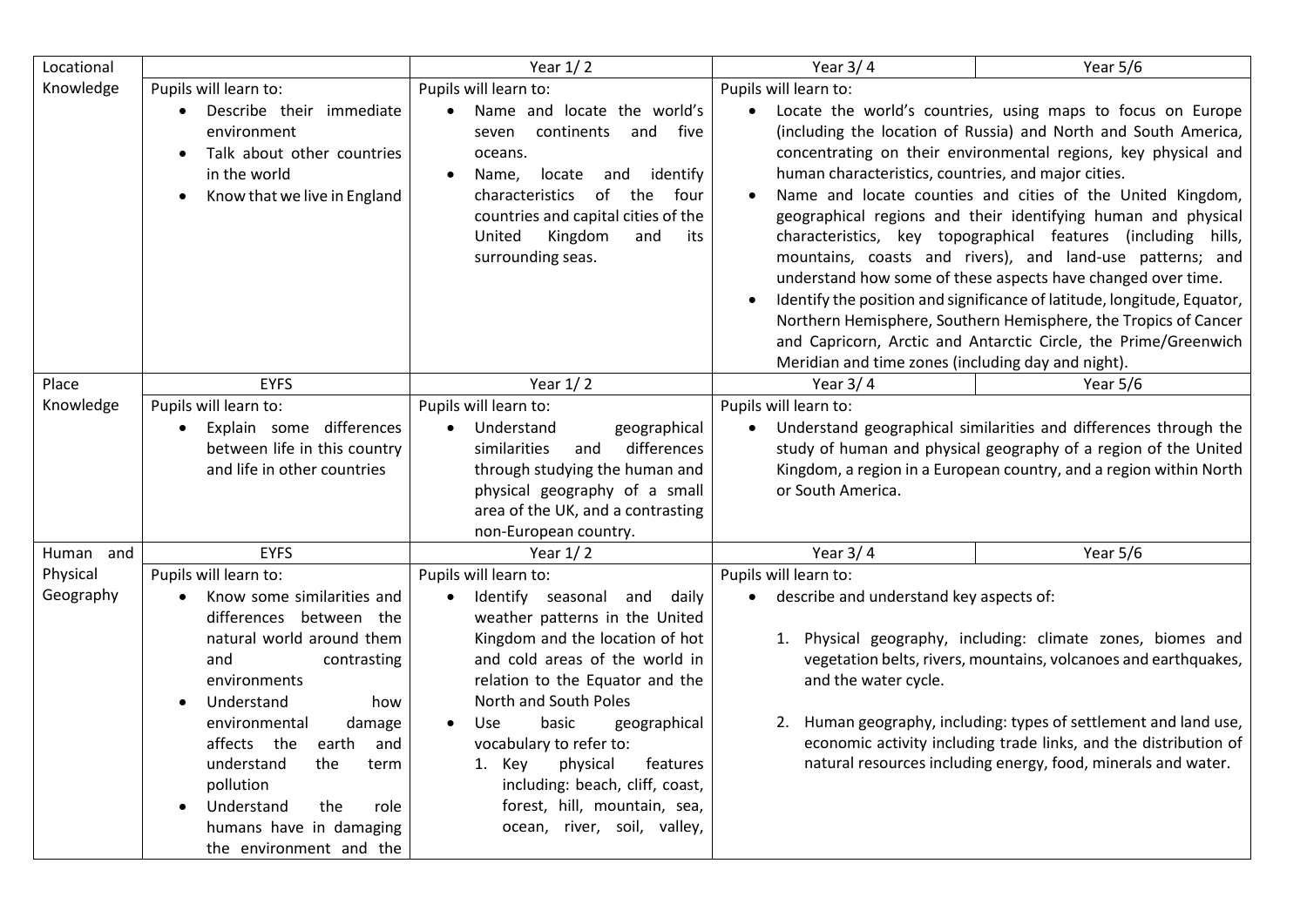| Locational |                                                                                                                                                                                                                       | Year $1/2$                                                                                                                                                                                                                                             | Year $3/4$                                                                                                                                                                                                                                                                                                                                                                                                                                                                                                                                                                                                                                                                                                                                                                                                                                                               | Year 5/6                                                                                                                                                                                                  |
|------------|-----------------------------------------------------------------------------------------------------------------------------------------------------------------------------------------------------------------------|--------------------------------------------------------------------------------------------------------------------------------------------------------------------------------------------------------------------------------------------------------|--------------------------------------------------------------------------------------------------------------------------------------------------------------------------------------------------------------------------------------------------------------------------------------------------------------------------------------------------------------------------------------------------------------------------------------------------------------------------------------------------------------------------------------------------------------------------------------------------------------------------------------------------------------------------------------------------------------------------------------------------------------------------------------------------------------------------------------------------------------------------|-----------------------------------------------------------------------------------------------------------------------------------------------------------------------------------------------------------|
| Knowledge  | Pupils will learn to:                                                                                                                                                                                                 | Pupils will learn to:                                                                                                                                                                                                                                  | Pupils will learn to:                                                                                                                                                                                                                                                                                                                                                                                                                                                                                                                                                                                                                                                                                                                                                                                                                                                    |                                                                                                                                                                                                           |
|            | Describe their immediate<br>environment<br>Talk about other countries<br>$\bullet$<br>in the world<br>Know that we live in England<br>$\bullet$                                                                       | Name and locate the world's<br>continents<br>and<br>five<br>seven<br>oceans.<br>locate<br>and<br>identify<br>Name,<br>characteristics of<br>the<br>four<br>countries and capital cities of the<br>Kingdom<br>United<br>and<br>its<br>surrounding seas. | Locate the world's countries, using maps to focus on Europe<br>$\bullet$<br>(including the location of Russia) and North and South America,<br>concentrating on their environmental regions, key physical and<br>human characteristics, countries, and major cities.<br>Name and locate counties and cities of the United Kingdom,<br>geographical regions and their identifying human and physical<br>characteristics, key topographical features (including hills,<br>mountains, coasts and rivers), and land-use patterns; and<br>understand how some of these aspects have changed over time.<br>Identify the position and significance of latitude, longitude, Equator,<br>Northern Hemisphere, Southern Hemisphere, the Tropics of Cancer<br>and Capricorn, Arctic and Antarctic Circle, the Prime/Greenwich<br>Meridian and time zones (including day and night). |                                                                                                                                                                                                           |
| Place      | <b>EYFS</b>                                                                                                                                                                                                           | Year $1/2$                                                                                                                                                                                                                                             | Year $3/4$                                                                                                                                                                                                                                                                                                                                                                                                                                                                                                                                                                                                                                                                                                                                                                                                                                                               | Year 5/6                                                                                                                                                                                                  |
| Knowledge  | Pupils will learn to:                                                                                                                                                                                                 | Pupils will learn to:                                                                                                                                                                                                                                  | Pupils will learn to:                                                                                                                                                                                                                                                                                                                                                                                                                                                                                                                                                                                                                                                                                                                                                                                                                                                    |                                                                                                                                                                                                           |
|            | Explain some differences<br>between life in this country<br>and life in other countries                                                                                                                               | Understand<br>geographical<br>differences<br>similarities<br>and<br>through studying the human and<br>physical geography of a small<br>area of the UK, and a contrasting<br>non-European country.                                                      | $\bullet$<br>or South America.                                                                                                                                                                                                                                                                                                                                                                                                                                                                                                                                                                                                                                                                                                                                                                                                                                           | Understand geographical similarities and differences through the<br>study of human and physical geography of a region of the United<br>Kingdom, a region in a European country, and a region within North |
| Human and  | <b>EYFS</b>                                                                                                                                                                                                           | Year $1/2$                                                                                                                                                                                                                                             | Year $3/4$                                                                                                                                                                                                                                                                                                                                                                                                                                                                                                                                                                                                                                                                                                                                                                                                                                                               | Year $5/6$                                                                                                                                                                                                |
| Physical   | Pupils will learn to:                                                                                                                                                                                                 | Pupils will learn to:                                                                                                                                                                                                                                  | Pupils will learn to:                                                                                                                                                                                                                                                                                                                                                                                                                                                                                                                                                                                                                                                                                                                                                                                                                                                    |                                                                                                                                                                                                           |
| Geography  | Know some similarities and<br>differences between the<br>natural world around them<br>and<br>contrasting<br>environments                                                                                              | Identify seasonal and<br>daily<br>weather patterns in the United<br>Kingdom and the location of hot<br>and cold areas of the world in<br>relation to the Equator and the                                                                               | describe and understand key aspects of:<br>1. Physical geography, including: climate zones, biomes and<br>vegetation belts, rivers, mountains, volcanoes and earthquakes,<br>and the water cycle.                                                                                                                                                                                                                                                                                                                                                                                                                                                                                                                                                                                                                                                                        |                                                                                                                                                                                                           |
|            | Understand<br>how<br>$\bullet$<br>environmental<br>damage<br>affects the<br>earth<br>and<br>the<br>understand<br>term<br>pollution<br>the<br>Understand<br>role<br>humans have in damaging<br>the environment and the | North and South Poles<br>basic<br>geographical<br>Use<br>vocabulary to refer to:<br>1. Key<br>physical<br>features<br>including: beach, cliff, coast,<br>forest, hill, mountain, sea,<br>ocean, river, soil, valley,                                   |                                                                                                                                                                                                                                                                                                                                                                                                                                                                                                                                                                                                                                                                                                                                                                                                                                                                          | 2. Human geography, including: types of settlement and land use,<br>economic activity including trade links, and the distribution of<br>natural resources including energy, food, minerals and water.     |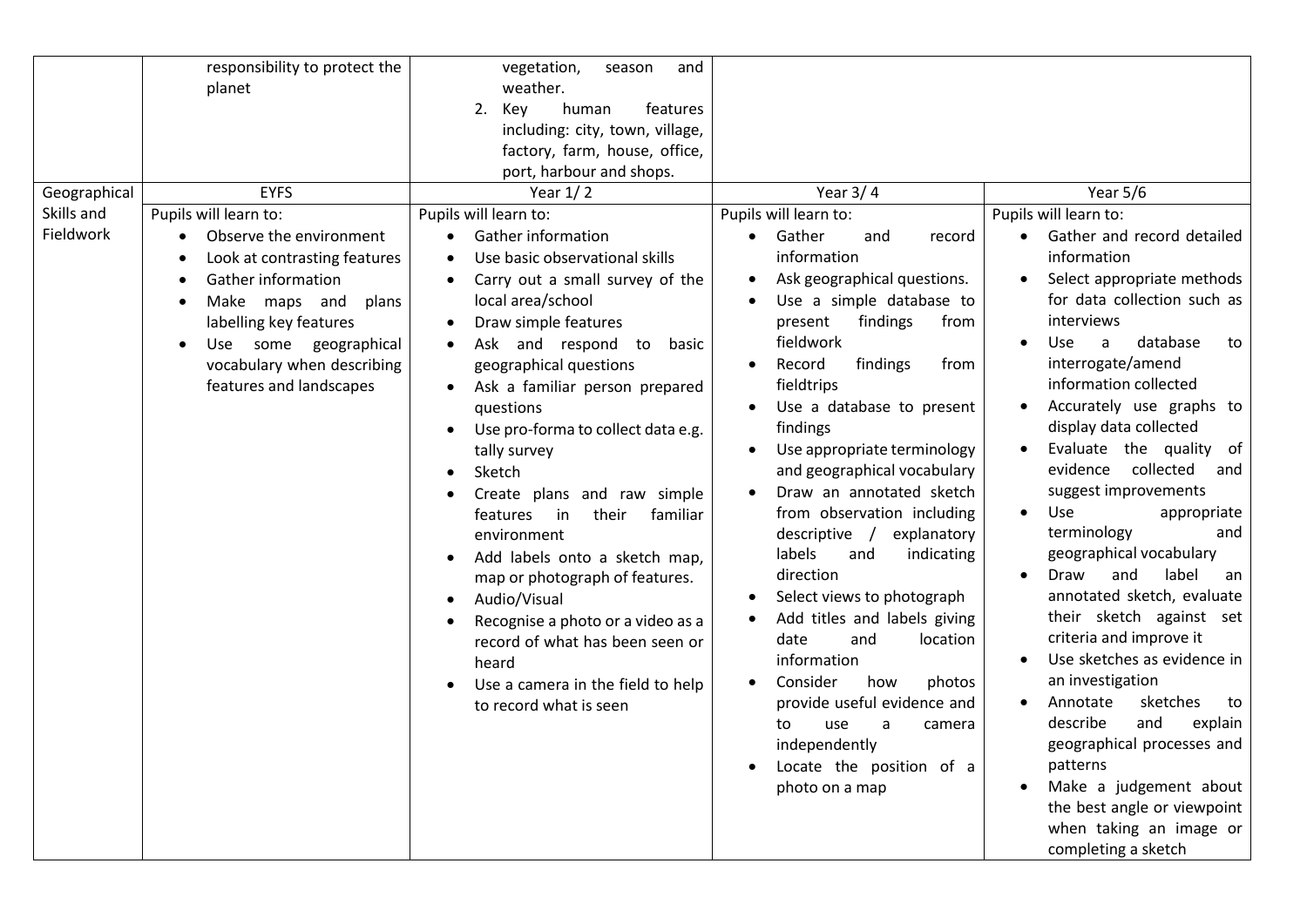| Geographical | responsibility to protect the<br>planet<br><b>EYFS</b>                                                                                                                                                                           | vegetation,<br>season<br>and<br>weather.<br>2.<br>Key<br>human<br>features<br>including: city, town, village,<br>factory, farm, house, office,<br>port, harbour and shops.<br>Year $1/2$                                                                                                                                                                                                                                                                                                                                                                                                                                                                                                                                     | Year $3/4$                                                                                                                                                                                                                                                                                                                                                                                                                                                                                                                                                                                                                                                                                              | Year 5/6                                                                                                                                                                                                                                                                                                                                                                                                                                                                                                                                                                                                                                                                                                                                                                                                                                                                            |
|--------------|----------------------------------------------------------------------------------------------------------------------------------------------------------------------------------------------------------------------------------|------------------------------------------------------------------------------------------------------------------------------------------------------------------------------------------------------------------------------------------------------------------------------------------------------------------------------------------------------------------------------------------------------------------------------------------------------------------------------------------------------------------------------------------------------------------------------------------------------------------------------------------------------------------------------------------------------------------------------|---------------------------------------------------------------------------------------------------------------------------------------------------------------------------------------------------------------------------------------------------------------------------------------------------------------------------------------------------------------------------------------------------------------------------------------------------------------------------------------------------------------------------------------------------------------------------------------------------------------------------------------------------------------------------------------------------------|-------------------------------------------------------------------------------------------------------------------------------------------------------------------------------------------------------------------------------------------------------------------------------------------------------------------------------------------------------------------------------------------------------------------------------------------------------------------------------------------------------------------------------------------------------------------------------------------------------------------------------------------------------------------------------------------------------------------------------------------------------------------------------------------------------------------------------------------------------------------------------------|
| Skills and   | Pupils will learn to:                                                                                                                                                                                                            | Pupils will learn to:                                                                                                                                                                                                                                                                                                                                                                                                                                                                                                                                                                                                                                                                                                        | Pupils will learn to:                                                                                                                                                                                                                                                                                                                                                                                                                                                                                                                                                                                                                                                                                   | Pupils will learn to:                                                                                                                                                                                                                                                                                                                                                                                                                                                                                                                                                                                                                                                                                                                                                                                                                                                               |
| Fieldwork    | Observe the environment<br>Look at contrasting features<br>Gather information<br>Make maps and<br>plans<br>$\bullet$<br>labelling key features<br>Use some geographical<br>vocabulary when describing<br>features and landscapes | <b>Gather information</b><br>Use basic observational skills<br>$\bullet$<br>Carry out a small survey of the<br>local area/school<br>Draw simple features<br>Ask and respond to<br>basic<br>geographical questions<br>Ask a familiar person prepared<br>$\bullet$<br>questions<br>Use pro-forma to collect data e.g.<br>$\bullet$<br>tally survey<br>Sketch<br>Create plans and raw simple<br>their<br>familiar<br>features<br>in in<br>environment<br>Add labels onto a sketch map,<br>$\bullet$<br>map or photograph of features.<br>Audio/Visual<br>$\bullet$<br>Recognise a photo or a video as a<br>$\bullet$<br>record of what has been seen or<br>heard<br>Use a camera in the field to help<br>to record what is seen | • Gather<br>and<br>record<br>information<br>Ask geographical questions.<br>Use a simple database to<br>findings<br>present<br>from<br>fieldwork<br>findings<br>Record<br>from<br>fieldtrips<br>Use a database to present<br>findings<br>Use appropriate terminology<br>and geographical vocabulary<br>Draw an annotated sketch<br>from observation including<br>descriptive /<br>explanatory<br>labels<br>and<br>indicating<br>direction<br>Select views to photograph<br>Add titles and labels giving<br>date<br>and<br>location<br>information<br>Consider<br>how<br>photos<br>provide useful evidence and<br>use<br>a<br>camera<br>to<br>independently<br>Locate the position of a<br>photo on a map | Gather and record detailed<br>information<br>Select appropriate methods<br>for data collection such as<br>interviews<br>database<br>Use.<br>a<br>to<br>interrogate/amend<br>information collected<br>Accurately use graphs to<br>$\bullet$<br>display data collected<br>Evaluate the quality of<br>$\bullet$<br>evidence collected<br>and<br>suggest improvements<br>Use<br>appropriate<br>$\bullet$<br>terminology<br>and<br>geographical vocabulary<br>label<br>Draw<br>and<br>$\bullet$<br>an<br>annotated sketch, evaluate<br>their sketch against set<br>criteria and improve it<br>Use sketches as evidence in<br>an investigation<br>Annotate<br>sketches<br>to<br>$\bullet$<br>describe<br>and<br>explain<br>geographical processes and<br>patterns<br>Make a judgement about<br>$\bullet$<br>the best angle or viewpoint<br>when taking an image or<br>completing a sketch |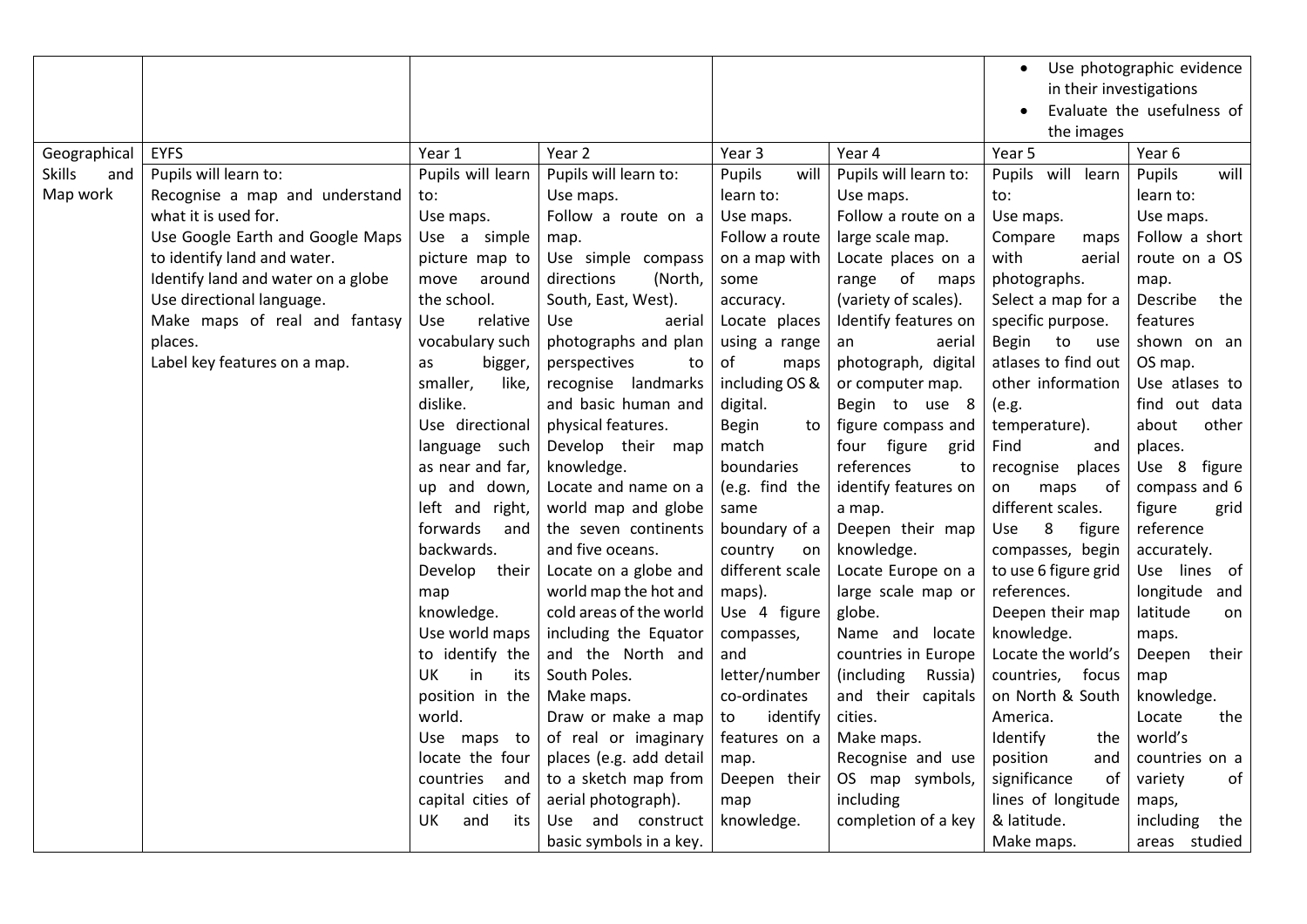|                      |                                    |                   |                         |                    |                       |                         | Use photographic evidence  |
|----------------------|------------------------------------|-------------------|-------------------------|--------------------|-----------------------|-------------------------|----------------------------|
|                      |                                    |                   |                         |                    |                       | in their investigations |                            |
|                      |                                    |                   |                         |                    |                       |                         | Evaluate the usefulness of |
|                      |                                    |                   |                         |                    |                       | the images              |                            |
| Geographical         | <b>EYFS</b>                        | Year 1            | Year 2                  | Year 3             | Year 4                | Year 5                  | Year 6                     |
| <b>Skills</b><br>and | Pupils will learn to:              | Pupils will learn | Pupils will learn to:   | will<br>Pupils     | Pupils will learn to: | Pupils will learn       | Pupils<br>will             |
| Map work             | Recognise a map and understand     | to:               | Use maps.               | learn to:          | Use maps.             | to:                     | learn to:                  |
|                      | what it is used for.               | Use maps.         | Follow a route on a     | Use maps.          | Follow a route on a   | Use maps.               | Use maps.                  |
|                      | Use Google Earth and Google Maps   | Use a simple      | map.                    | Follow a route     | large scale map.      | Compare<br>maps         | Follow a short             |
|                      | to identify land and water.        | picture map to    | Use simple compass      | on a map with      | Locate places on a    | with<br>aerial          | route on a OS              |
|                      | Identify land and water on a globe | move<br>around    | directions<br>(North,   | some               | range of maps         | photographs.            | map.                       |
|                      | Use directional language.          | the school.       | South, East, West).     | accuracy.          | (variety of scales).  | Select a map for a      | Describe<br>the            |
|                      | Make maps of real and fantasy      | Use<br>relative   | Use<br>aerial           | Locate places      | Identify features on  | specific purpose.       | features                   |
|                      | places.                            | vocabulary such   | photographs and plan    | using a range      | aerial<br>an          | Begin to<br>use         | shown on an                |
|                      | Label key features on a map.       | bigger,<br>as     | perspectives<br>to      | of<br>maps         | photograph, digital   | atlases to find out     | OS map.                    |
|                      |                                    | smaller,<br>like, | recognise landmarks     | including OS &     | or computer map.      | other information       | Use atlases to             |
|                      |                                    | dislike.          | and basic human and     | digital.           | Begin to use 8        | (e.g.                   | find out data              |
|                      |                                    | Use directional   | physical features.      | <b>Begin</b><br>to | figure compass and    | temperature).           | about<br>other             |
|                      |                                    | language such     | Develop their map       | match              | four figure grid      | Find<br>and             | places.                    |
|                      |                                    | as near and far,  | knowledge.              | boundaries         | references<br>to      | recognise<br>places     | Use 8 figure               |
|                      |                                    | up and down,      | Locate and name on a    | (e.g. find the     | identify features on  | of<br>maps<br>on        | compass and 6              |
|                      |                                    | left and right,   | world map and globe     | same               | a map.                | different scales.       | figure<br>grid             |
|                      |                                    | forwards<br>and   | the seven continents    | boundary of a      | Deepen their map      | 8<br>Use<br>figure      | reference                  |
|                      |                                    | backwards.        | and five oceans.        | country<br>on      | knowledge.            | compasses, begin        | accurately.                |
|                      |                                    | Develop<br>their  | Locate on a globe and   | different scale    | Locate Europe on a    | to use 6 figure grid    | Use lines of               |
|                      |                                    | map               | world map the hot and   | maps).             | large scale map or    | references.             | longitude and              |
|                      |                                    | knowledge.        | cold areas of the world | Use 4 figure       | globe.                | Deepen their map        | latitude<br>on             |
|                      |                                    | Use world maps    | including the Equator   | compasses,         | Name and locate       | knowledge.              | maps.                      |
|                      |                                    | to identify the   | and the North and       | and                | countries in Europe   | Locate the world's      | Deepen<br>their            |
|                      |                                    | UK<br>in<br>its   | South Poles.            | letter/number      | (including<br>Russia) | countries,<br>focus     | map                        |
|                      |                                    | position in the   | Make maps.              | co-ordinates       | and their capitals    | on North & South        | knowledge.                 |
|                      |                                    | world.            | Draw or make a map      | identify<br>to     | cities.               | America.                | Locate<br>the              |
|                      |                                    | Use maps to       | of real or imaginary    | features on a      | Make maps.            | Identify<br>the         | world's                    |
|                      |                                    | locate the four   | places (e.g. add detail | map.               | Recognise and use     | position<br>and         | countries on a             |
|                      |                                    | countries<br>and  | to a sketch map from    | Deepen their       | OS map symbols,       | significance<br>of      | of<br>variety              |
|                      |                                    | capital cities of | aerial photograph).     | map                | including             | lines of longitude      | maps,                      |
|                      |                                    | UK<br>and<br>its  | Use and construct       | knowledge.         | completion of a key   | & latitude.             | including<br>the           |
|                      |                                    |                   | basic symbols in a key. |                    |                       | Make maps.              | areas studied              |